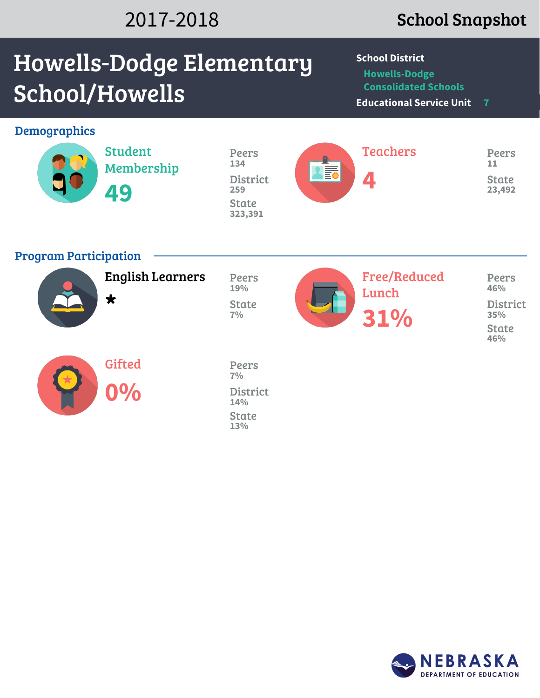## 2017-2018 School Snapshot

# Howells-Dodge Elementary School/Howells

**School District**

**Howells-Dodge Consolidated Schools**

**Educational Service Unit 7**

| <b>Demographics</b>          | <b>Student</b><br>Membership<br>49 | <b>Peers</b><br>134<br><b>District</b><br>259<br><b>State</b><br>323,391 | <b>Aid</b> | <b>Teachers</b><br>4                | <b>Peers</b><br>11<br><b>State</b><br>23,492                  |
|------------------------------|------------------------------------|--------------------------------------------------------------------------|------------|-------------------------------------|---------------------------------------------------------------|
| <b>Program Participation</b> | <b>English Learners</b><br>$\star$ | Peers<br>19%<br><b>State</b><br>7%                                       |            | <b>Free/Reduced</b><br>Lunch<br>31% | Peers<br>46%<br><b>District</b><br>35%<br><b>State</b><br>46% |
|                              | <b>Gifted</b><br>0%                | <b>Peers</b><br>7%<br><b>District</b><br>14%<br><b>State</b><br>13%      |            |                                     |                                                               |

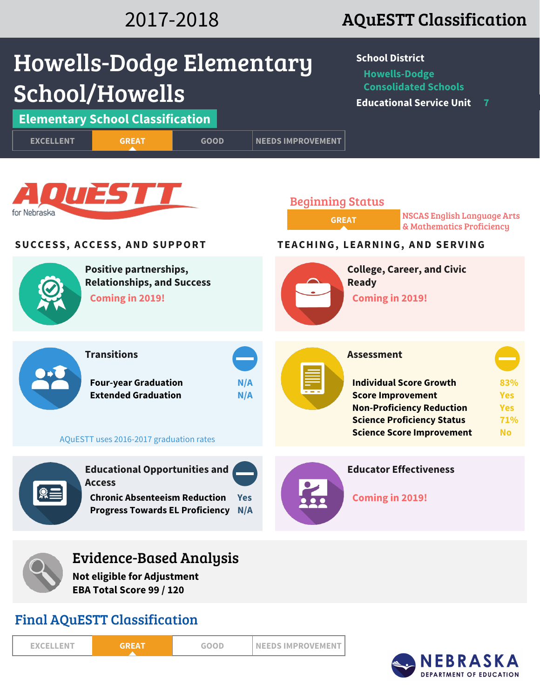# 2017-2018 AQuESTT Classification

| Howells-Dodge Elementary                                                                                                                                  | <b>School District</b><br><b>Howells-Dodge</b>                                                                                                                                                                                                      |
|-----------------------------------------------------------------------------------------------------------------------------------------------------------|-----------------------------------------------------------------------------------------------------------------------------------------------------------------------------------------------------------------------------------------------------|
| School/Howells                                                                                                                                            | <b>Consolidated Schools</b><br><b>Educational Service Unit</b><br>$\overline{7}$                                                                                                                                                                    |
| <b>Elementary School Classification</b>                                                                                                                   |                                                                                                                                                                                                                                                     |
| <b>EXCELLENT</b><br><b>GREAT</b><br><b>GOOD</b>                                                                                                           | <b>NEEDS IMPROVEMENT</b>                                                                                                                                                                                                                            |
| <b>QUESTT</b><br>for Nebraska                                                                                                                             | <b>Beginning Status</b><br><b>NSCAS English Language Arts</b><br><b>GREAT</b><br>& Mathematics Proficiency                                                                                                                                          |
| SUCCESS, ACCESS, AND SUPPORT                                                                                                                              | TEACHING, LEARNING, AND SERVING                                                                                                                                                                                                                     |
| Positive partnerships,<br><b>Relationships, and Success</b><br>Coming in 2019!                                                                            | <b>College, Career, and Civic</b><br><b>Ready</b><br><b>Coming in 2019!</b>                                                                                                                                                                         |
| <b>Transitions</b><br><b>Four-year Graduation</b><br>N/A<br><b>Extended Graduation</b><br>N/A<br>AQuESTT uses 2016-2017 graduation rates                  | <b>Assessment</b><br><b>Individual Score Growth</b><br>83%<br><b>Score Improvement</b><br><b>Yes</b><br><b>Non-Proficiency Reduction</b><br><b>Yes</b><br><b>Science Proficiency Status</b><br>71%<br><b>Science Score Improvement</b><br><b>No</b> |
| <b>Educational Opportunities and</b><br><b>Access</b><br><b>Chronic Absenteeism Reduction</b><br><b>Yes</b><br><b>Progress Towards EL Proficiency N/A</b> | <b>Educator Effectiveness</b><br><b>Coming in 2019!</b>                                                                                                                                                                                             |
| Evidence-Based Analysis<br><b>Not eligible for Adjustment</b><br>EBA Total Score 99 / 120                                                                 |                                                                                                                                                                                                                                                     |

### Final AQuESTT Classification